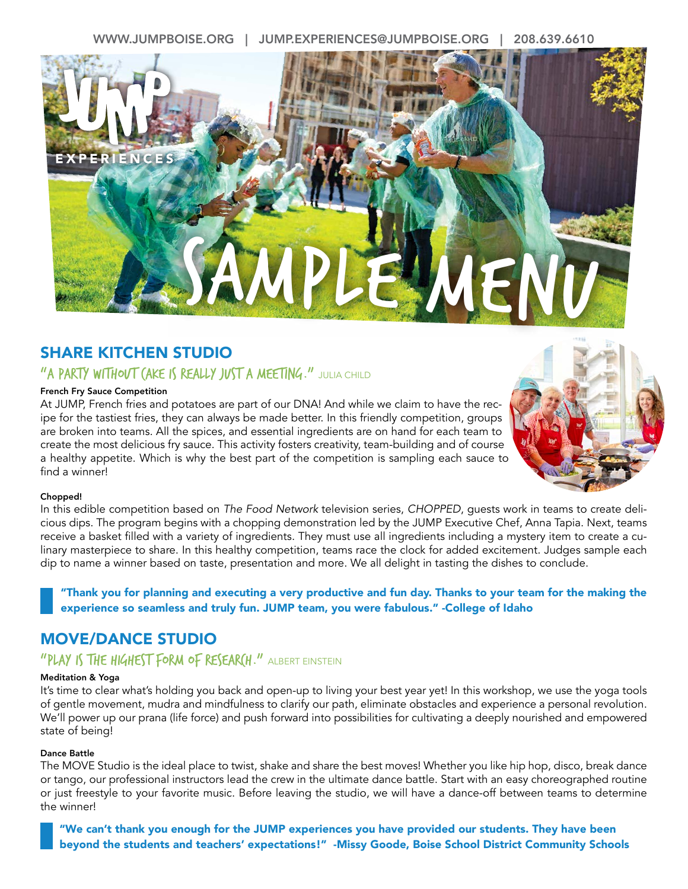WWW.JUMPBOISE.ORG | JUMP.EXPERIENCES@JUMPBOISE.ORG | 208.639.6610



# SHARE KITCHEN STUDIO

## "A PARTY WITHOUT (AKE IS REALLY JUST A MEETING." JULIA CHILD

### French Fry Sauce Competition

At JUMP, French fries and potatoes are part of our DNA! And while we claim to have the recipe for the tastiest fries, they can always be made better. In this friendly competition, groups are broken into teams. All the spices, and essential ingredients are on hand for each team to create the most delicious fry sauce. This activity fosters creativity, team-building and of course a healthy appetite. Which is why the best part of the competition is sampling each sauce to find a winner!



#### Chopped!

In this edible competition based on *The Food Network* television series, *CHOPPED*, guests work in teams to create delicious dips. The program begins with a chopping demonstration led by the JUMP Executive Chef, Anna Tapia. Next, teams receive a basket filled with a variety of ingredients. They must use all ingredients including a mystery item to create a culinary masterpiece to share. In this healthy competition, teams race the clock for added excitement. Judges sample each dip to name a winner based on taste, presentation and more. We all delight in tasting the dishes to conclude.

"Thank you for planning and executing a very productive and fun day. Thanks to your team for the making the experience so seamless and truly fun. JUMP team, you were fabulous." -College of Idaho

## MOVE/DANCE STUDIO

## "PLAY IS THE HIGHEST FORM OF RESEARCH." ALBERT EINSTEIN

#### Meditation & Yoga

It's time to clear what's holding you back and open-up to living your best year yet! In this workshop, we use the yoga tools of gentle movement, mudra and mindfulness to clarify our path, eliminate obstacles and experience a personal revolution. We'll power up our prana (life force) and push forward into possibilities for cultivating a deeply nourished and empowered state of being!

#### Dance Battle

The MOVE Studio is the ideal place to twist, shake and share the best moves! Whether you like hip hop, disco, break dance or tango, our professional instructors lead the crew in the ultimate dance battle. Start with an easy choreographed routine or just freestyle to your favorite music. Before leaving the studio, we will have a dance-off between teams to determine the winner!

"We can't thank you enough for the JUMP experiences you have provided our students. They have been beyond the students and teachers' expectations!" -Missy Goode, Boise School District Community Schools